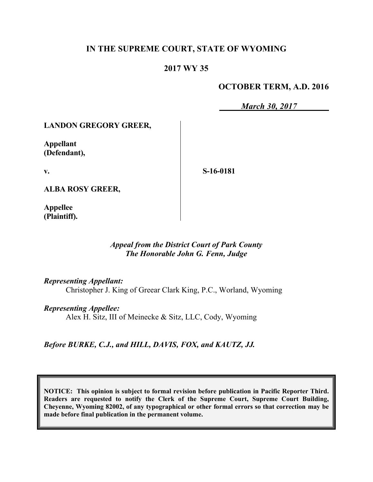## **IN THE SUPREME COURT, STATE OF WYOMING**

## **2017 WY 35**

## **OCTOBER TERM, A.D. 2016**

*March 30, 2017*

### **LANDON GREGORY GREER,**

**Appellant (Defendant),**

**v.**

**S-16-0181**

**ALBA ROSY GREER,**

**Appellee (Plaintiff).**

### *Appeal from the District Court of Park County The Honorable John G. Fenn, Judge*

*Representing Appellant:*

Christopher J. King of Greear Clark King, P.C., Worland, Wyoming

*Representing Appellee:*

Alex H. Sitz, III of Meinecke & Sitz, LLC, Cody, Wyoming

*Before BURKE, C.J., and HILL, DAVIS, FOX, and KAUTZ, JJ.*

**NOTICE: This opinion is subject to formal revision before publication in Pacific Reporter Third. Readers are requested to notify the Clerk of the Supreme Court, Supreme Court Building, Cheyenne, Wyoming 82002, of any typographical or other formal errors so that correction may be made before final publication in the permanent volume.**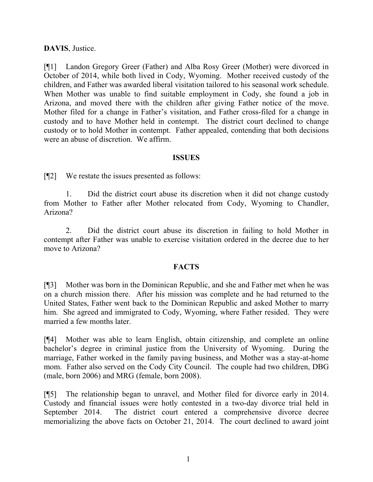### **DAVIS**, Justice.

[¶1] Landon Gregory Greer (Father) and Alba Rosy Greer (Mother) were divorced in October of 2014, while both lived in Cody, Wyoming. Mother received custody of the children, and Father was awarded liberal visitation tailored to his seasonal work schedule. When Mother was unable to find suitable employment in Cody, she found a job in Arizona, and moved there with the children after giving Father notice of the move. Mother filed for a change in Father's visitation, and Father cross-filed for a change in custody and to have Mother held in contempt. The district court declined to change custody or to hold Mother in contempt. Father appealed, contending that both decisions were an abuse of discretion. We affirm.

#### **ISSUES**

[¶2] We restate the issues presented as follows:

1. Did the district court abuse its discretion when it did not change custody from Mother to Father after Mother relocated from Cody, Wyoming to Chandler, Arizona?

2. Did the district court abuse its discretion in failing to hold Mother in contempt after Father was unable to exercise visitation ordered in the decree due to her move to Arizona?

#### **FACTS**

[¶3] Mother was born in the Dominican Republic, and she and Father met when he was on a church mission there. After his mission was complete and he had returned to the United States, Father went back to the Dominican Republic and asked Mother to marry him. She agreed and immigrated to Cody, Wyoming, where Father resided. They were married a few months later.

[¶4] Mother was able to learn English, obtain citizenship, and complete an online bachelor's degree in criminal justice from the University of Wyoming. During the marriage, Father worked in the family paving business, and Mother was a stay-at-home mom. Father also served on the Cody City Council. The couple had two children, DBG (male, born 2006) and MRG (female, born 2008).

[¶5] The relationship began to unravel, and Mother filed for divorce early in 2014. Custody and financial issues were hotly contested in a two-day divorce trial held in September 2014. The district court entered a comprehensive divorce decree memorializing the above facts on October 21, 2014. The court declined to award joint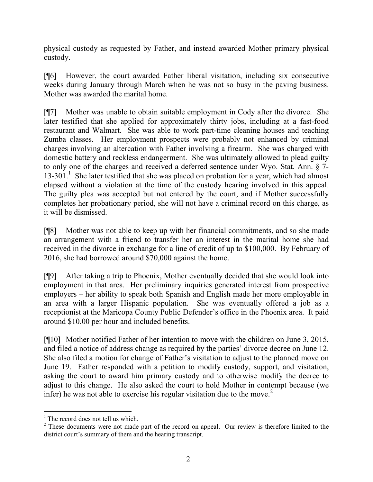physical custody as requested by Father, and instead awarded Mother primary physical custody.

[¶6] However, the court awarded Father liberal visitation, including six consecutive weeks during January through March when he was not so busy in the paving business. Mother was awarded the marital home.

[¶7] Mother was unable to obtain suitable employment in Cody after the divorce. She later testified that she applied for approximately thirty jobs, including at a fast-food restaurant and Walmart. She was able to work part-time cleaning houses and teaching Zumba classes. Her employment prospects were probably not enhanced by criminal charges involving an altercation with Father involving a firearm. She was charged with domestic battery and reckless endangerment. She was ultimately allowed to plead guilty to only one of the charges and received a deferred sentence under Wyo. Stat. Ann. § 7- 13-301.<sup>1</sup> She later testified that she was placed on probation for a year, which had almost elapsed without a violation at the time of the custody hearing involved in this appeal. The guilty plea was accepted but not entered by the court, and if Mother successfully completes her probationary period, she will not have a criminal record on this charge, as it will be dismissed.

[¶8] Mother was not able to keep up with her financial commitments, and so she made an arrangement with a friend to transfer her an interest in the marital home she had received in the divorce in exchange for a line of credit of up to \$100,000. By February of 2016, she had borrowed around \$70,000 against the home.

[¶9] After taking a trip to Phoenix, Mother eventually decided that she would look into employment in that area. Her preliminary inquiries generated interest from prospective employers – her ability to speak both Spanish and English made her more employable in an area with a larger Hispanic population. She was eventually offered a job as a receptionist at the Maricopa County Public Defender's office in the Phoenix area. It paid around \$10.00 per hour and included benefits.

[¶10] Mother notified Father of her intention to move with the children on June 3, 2015, and filed a notice of address change as required by the parties' divorce decree on June 12. She also filed a motion for change of Father's visitation to adjust to the planned move on June 19. Father responded with a petition to modify custody, support, and visitation, asking the court to award him primary custody and to otherwise modify the decree to adjust to this change. He also asked the court to hold Mother in contempt because (we infer) he was not able to exercise his regular visitation due to the move.<sup>2</sup>

l

 $<sup>1</sup>$  The record does not tell us which.</sup>

<sup>&</sup>lt;sup>2</sup> These documents were not made part of the record on appeal. Our review is therefore limited to the district court's summary of them and the hearing transcript.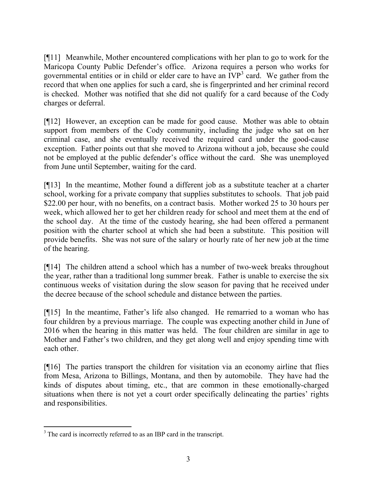[¶11] Meanwhile, Mother encountered complications with her plan to go to work for the Maricopa County Public Defender's office. Arizona requires a person who works for governmental entities or in child or elder care to have an  $IVP<sup>3</sup>$  card. We gather from the record that when one applies for such a card, she is fingerprinted and her criminal record is checked. Mother was notified that she did not qualify for a card because of the Cody charges or deferral.

[¶12] However, an exception can be made for good cause. Mother was able to obtain support from members of the Cody community, including the judge who sat on her criminal case, and she eventually received the required card under the good-cause exception. Father points out that she moved to Arizona without a job, because she could not be employed at the public defender's office without the card. She was unemployed from June until September, waiting for the card.

[¶13] In the meantime, Mother found a different job as a substitute teacher at a charter school, working for a private company that supplies substitutes to schools. That job paid \$22.00 per hour, with no benefits, on a contract basis. Mother worked 25 to 30 hours per week, which allowed her to get her children ready for school and meet them at the end of the school day. At the time of the custody hearing, she had been offered a permanent position with the charter school at which she had been a substitute. This position will provide benefits. She was not sure of the salary or hourly rate of her new job at the time of the hearing.

[¶14] The children attend a school which has a number of two-week breaks throughout the year, rather than a traditional long summer break. Father is unable to exercise the six continuous weeks of visitation during the slow season for paving that he received under the decree because of the school schedule and distance between the parties.

[¶15] In the meantime, Father's life also changed. He remarried to a woman who has four children by a previous marriage. The couple was expecting another child in June of 2016 when the hearing in this matter was held. The four children are similar in age to Mother and Father's two children, and they get along well and enjoy spending time with each other.

[¶16] The parties transport the children for visitation via an economy airline that flies from Mesa, Arizona to Billings, Montana, and then by automobile. They have had the kinds of disputes about timing, etc., that are common in these emotionally-charged situations when there is not yet a court order specifically delineating the parties' rights and responsibilities.

l <sup>3</sup> The card is incorrectly referred to as an IBP card in the transcript.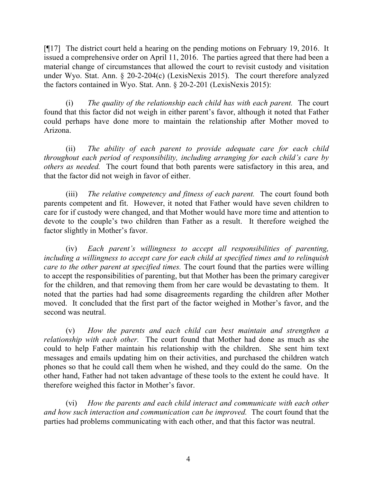[¶17] The district court held a hearing on the pending motions on February 19, 2016. It issued a comprehensive order on April 11, 2016. The parties agreed that there had been a material change of circumstances that allowed the court to revisit custody and visitation under Wyo. Stat. Ann. § 20-2-204(c) (LexisNexis 2015). The court therefore analyzed the factors contained in Wyo. Stat. Ann. § 20-2-201 (LexisNexis 2015):

(i) *The quality of the relationship each child has with each parent.* The court found that this factor did not weigh in either parent's favor, although it noted that Father could perhaps have done more to maintain the relationship after Mother moved to Arizona.

(ii) *The ability of each parent to provide adequate care for each child throughout each period of responsibility, including arranging for each child's care by others as needed.* The court found that both parents were satisfactory in this area, and that the factor did not weigh in favor of either.

(iii) *The relative competency and fitness of each parent.* The court found both parents competent and fit. However, it noted that Father would have seven children to care for if custody were changed, and that Mother would have more time and attention to devote to the couple's two children than Father as a result. It therefore weighed the factor slightly in Mother's favor.

(iv) *Each parent's willingness to accept all responsibilities of parenting, including a willingness to accept care for each child at specified times and to relinquish care to the other parent at specified times.* The court found that the parties were willing to accept the responsibilities of parenting, but that Mother has been the primary caregiver for the children, and that removing them from her care would be devastating to them. It noted that the parties had had some disagreements regarding the children after Mother moved. It concluded that the first part of the factor weighed in Mother's favor, and the second was neutral.

(v) *How the parents and each child can best maintain and strengthen a relationship with each other.* The court found that Mother had done as much as she could to help Father maintain his relationship with the children. She sent him text messages and emails updating him on their activities, and purchased the children watch phones so that he could call them when he wished, and they could do the same. On the other hand, Father had not taken advantage of these tools to the extent he could have. It therefore weighed this factor in Mother's favor.

(vi) *How the parents and each child interact and communicate with each other and how such interaction and communication can be improved.* The court found that the parties had problems communicating with each other, and that this factor was neutral.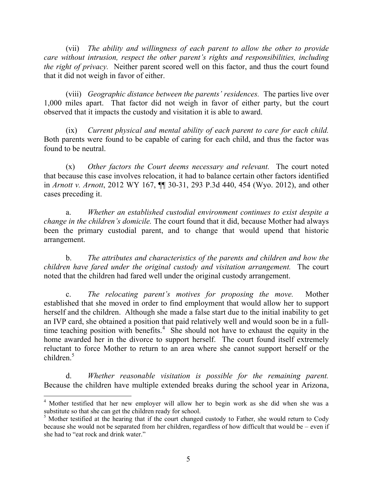(vii) *The ability and willingness of each parent to allow the other to provide care without intrusion, respect the other parent's rights and responsibilities, including the right of privacy.* Neither parent scored well on this factor, and thus the court found that it did not weigh in favor of either.

(viii) *Geographic distance between the parents' residences.* The parties live over 1,000 miles apart. That factor did not weigh in favor of either party, but the court observed that it impacts the custody and visitation it is able to award.

(ix) *Current physical and mental ability of each parent to care for each child.*  Both parents were found to be capable of caring for each child, and thus the factor was found to be neutral.

(x) *Other factors the Court deems necessary and relevant.* The court noted that because this case involves relocation, it had to balance certain other factors identified in *Arnott v. Arnott*, 2012 WY 167, ¶¶ 30-31, 293 P.3d 440, 454 (Wyo. 2012), and other cases preceding it.

a. *Whether an established custodial environment continues to exist despite a change in the children's domicile.* The court found that it did, because Mother had always been the primary custodial parent, and to change that would upend that historic arrangement.

b. *The attributes and characteristics of the parents and children and how the children have fared under the original custody and visitation arrangement.* The court noted that the children had fared well under the original custody arrangement.

c. *The relocating parent's motives for proposing the move.* Mother established that she moved in order to find employment that would allow her to support herself and the children. Although she made a false start due to the initial inability to get an IVP card, she obtained a position that paid relatively well and would soon be in a fulltime teaching position with benefits.<sup>4</sup> She should not have to exhaust the equity in the home awarded her in the divorce to support herself. The court found itself extremely reluctant to force Mother to return to an area where she cannot support herself or the children. 5

d. *Whether reasonable visitation is possible for the remaining parent.* Because the children have multiple extended breaks during the school year in Arizona,

 $\overline{a}$ 

<sup>&</sup>lt;sup>4</sup> Mother testified that her new employer will allow her to begin work as she did when she was a substitute so that she can get the children ready for school.

<sup>&</sup>lt;sup>5</sup> Mother testified at the hearing that if the court changed custody to Father, she would return to Cody because she would not be separated from her children, regardless of how difficult that would be – even if she had to "eat rock and drink water."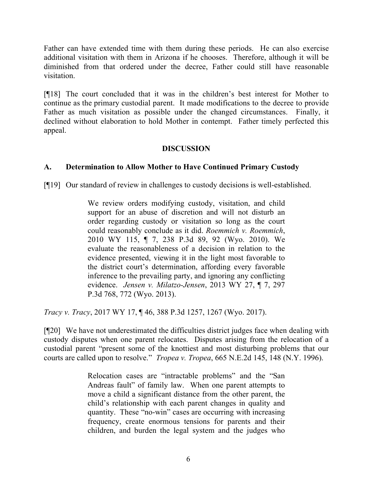Father can have extended time with them during these periods. He can also exercise additional visitation with them in Arizona if he chooses. Therefore, although it will be diminished from that ordered under the decree, Father could still have reasonable visitation.

[¶18] The court concluded that it was in the children's best interest for Mother to continue as the primary custodial parent. It made modifications to the decree to provide Father as much visitation as possible under the changed circumstances. Finally, it declined without elaboration to hold Mother in contempt. Father timely perfected this appeal.

## **DISCUSSION**

# **A. Determination to Allow Mother to Have Continued Primary Custody**

[¶19] Our standard of review in challenges to custody decisions is well-established.

We review orders modifying custody, visitation, and child support for an abuse of discretion and will not disturb an order regarding custody or visitation so long as the court could reasonably conclude as it did. *Roemmich v. Roemmich*, 2010 WY 115, ¶ 7, 238 P.3d 89, 92 (Wyo. 2010). We evaluate the reasonableness of a decision in relation to the evidence presented, viewing it in the light most favorable to the district court's determination, affording every favorable inference to the prevailing party, and ignoring any conflicting evidence. *Jensen v. Milatzo-Jensen*, 2013 WY 27, ¶ 7, 297 P.3d 768, 772 (Wyo. 2013).

*Tracy v. Tracy*, 2017 WY 17, ¶ 46, 388 P.3d 1257, 1267 (Wyo. 2017).

[¶20] We have not underestimated the difficulties district judges face when dealing with custody disputes when one parent relocates. Disputes arising from the relocation of a custodial parent "present some of the knottiest and most disturbing problems that our courts are called upon to resolve." *Tropea v. Tropea*, 665 N.E.2d 145, 148 (N.Y. 1996).

> Relocation cases are "intractable problems" and the "San Andreas fault" of family law. When one parent attempts to move a child a significant distance from the other parent, the child's relationship with each parent changes in quality and quantity. These "no-win" cases are occurring with increasing frequency, create enormous tensions for parents and their children, and burden the legal system and the judges who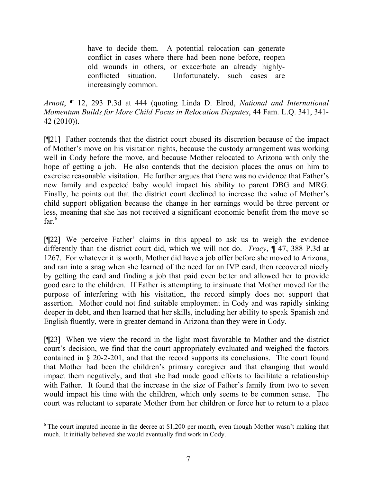have to decide them. A potential relocation can generate conflict in cases where there had been none before, reopen old wounds in others, or exacerbate an already highlyconflicted situation. Unfortunately, such cases are increasingly common.

*Arnott*, ¶ 12, 293 P.3d at 444 (quoting Linda D. Elrod, *National and International Momentum Builds for More Child Focus in Relocation Disputes*, 44 Fam. L.Q. 341, 341- 42 (2010)).

[¶21] Father contends that the district court abused its discretion because of the impact of Mother's move on his visitation rights, because the custody arrangement was working well in Cody before the move, and because Mother relocated to Arizona with only the hope of getting a job. He also contends that the decision places the onus on him to exercise reasonable visitation. He further argues that there was no evidence that Father's new family and expected baby would impact his ability to parent DBG and MRG. Finally, he points out that the district court declined to increase the value of Mother's child support obligation because the change in her earnings would be three percent or less, meaning that she has not received a significant economic benefit from the move so far. $\frac{6}{6}$ 

[¶22] We perceive Father' claims in this appeal to ask us to weigh the evidence differently than the district court did, which we will not do. *Tracy*, ¶ 47, 388 P.3d at 1267. For whatever it is worth, Mother did have a job offer before she moved to Arizona, and ran into a snag when she learned of the need for an IVP card, then recovered nicely by getting the card and finding a job that paid even better and allowed her to provide good care to the children. If Father is attempting to insinuate that Mother moved for the purpose of interfering with his visitation, the record simply does not support that assertion. Mother could not find suitable employment in Cody and was rapidly sinking deeper in debt, and then learned that her skills, including her ability to speak Spanish and English fluently, were in greater demand in Arizona than they were in Cody.

[¶23] When we view the record in the light most favorable to Mother and the district court's decision, we find that the court appropriately evaluated and weighed the factors contained in § 20-2-201, and that the record supports its conclusions. The court found that Mother had been the children's primary caregiver and that changing that would impact them negatively, and that she had made good efforts to facilitate a relationship with Father. It found that the increase in the size of Father's family from two to seven would impact his time with the children, which only seems to be common sense. The court was reluctant to separate Mother from her children or force her to return to a place

 $6$  The court imputed income in the decree at \$1,200 per month, even though Mother wasn't making that much. It initially believed she would eventually find work in Cody.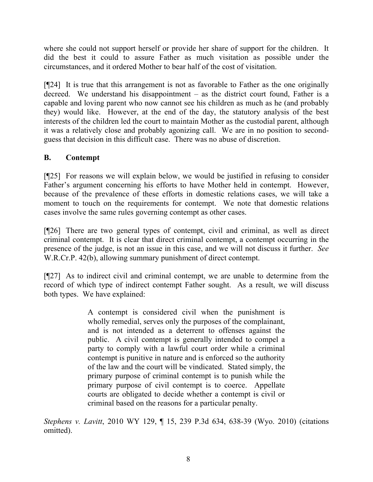where she could not support herself or provide her share of support for the children. It did the best it could to assure Father as much visitation as possible under the circumstances, and it ordered Mother to bear half of the cost of visitation.

[¶24] It is true that this arrangement is not as favorable to Father as the one originally decreed. We understand his disappointment – as the district court found, Father is a capable and loving parent who now cannot see his children as much as he (and probably they) would like. However, at the end of the day, the statutory analysis of the best interests of the children led the court to maintain Mother as the custodial parent, although it was a relatively close and probably agonizing call. We are in no position to secondguess that decision in this difficult case. There was no abuse of discretion.

# **B. Contempt**

[¶25] For reasons we will explain below, we would be justified in refusing to consider Father's argument concerning his efforts to have Mother held in contempt. However, because of the prevalence of these efforts in domestic relations cases, we will take a moment to touch on the requirements for contempt. We note that domestic relations cases involve the same rules governing contempt as other cases.

[¶26] There are two general types of contempt, civil and criminal, as well as direct criminal contempt. It is clear that direct criminal contempt, a contempt occurring in the presence of the judge, is not an issue in this case, and we will not discuss it further. *See* W.R.Cr.P. 42(b), allowing summary punishment of direct contempt.

[¶27] As to indirect civil and criminal contempt, we are unable to determine from the record of which type of indirect contempt Father sought. As a result, we will discuss both types. We have explained:

> A contempt is considered civil when the punishment is wholly remedial, serves only the purposes of the complainant, and is not intended as a deterrent to offenses against the public. A civil contempt is generally intended to compel a party to comply with a lawful court order while a criminal contempt is punitive in nature and is enforced so the authority of the law and the court will be vindicated. Stated simply, the primary purpose of criminal contempt is to punish while the primary purpose of civil contempt is to coerce. Appellate courts are obligated to decide whether a contempt is civil or criminal based on the reasons for a particular penalty.

*Stephens v. Lavitt*, 2010 WY 129, ¶ 15, 239 P.3d 634, 638-39 (Wyo. 2010) (citations omitted).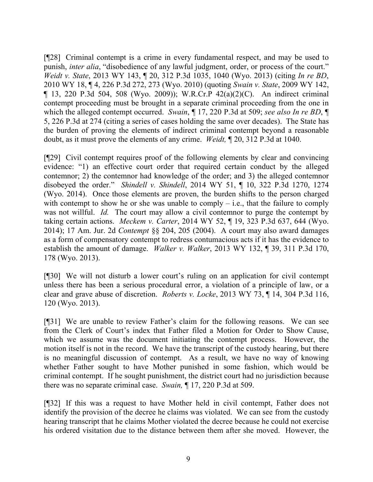[¶28] Criminal contempt is a crime in every fundamental respect, and may be used to punish, *inter alia*, "disobedience of any lawful judgment, order, or process of the court." *Weidt v. State*, 2013 WY 143, ¶ 20, 312 P.3d 1035, 1040 (Wyo. 2013) (citing *In re BD*, 2010 WY 18, ¶ 4, 226 P.3d 272, 273 (Wyo. 2010) (quoting *Swain v. State*, 2009 WY 142, ¶ 13, 220 P.3d 504, 508 (Wyo. 2009)); W.R.Cr.P 42(a)(2)(C). An indirect criminal contempt proceeding must be brought in a separate criminal proceeding from the one in which the alleged contempt occurred. *Swain*, ¶ 17, 220 P.3d at 509; *see also In re BD*, ¶ 5, 226 P.3d at 274 (citing a series of cases holding the same over decades). The State has the burden of proving the elements of indirect criminal contempt beyond a reasonable doubt, as it must prove the elements of any crime. *Weidt,* ¶ 20, 312 P.3d at 1040.

[¶29] Civil contempt requires proof of the following elements by clear and convincing evidence: "1) an effective court order that required certain conduct by the alleged contemnor; 2) the contemnor had knowledge of the order; and 3) the alleged contemnor disobeyed the order." *Shindell v. Shindell*, 2014 WY 51, ¶ 10, 322 P.3d 1270, 1274 (Wyo. 2014). Once those elements are proven, the burden shifts to the person charged with contempt to show he or she was unable to comply  $-$  i.e., that the failure to comply was not willful. *Id.* The court may allow a civil contemnor to purge the contempt by taking certain actions. *Meckem v. Carter*, 2014 WY 52, ¶ 19, 323 P.3d 637, 644 (Wyo. 2014); 17 Am. Jur. 2d *Contempt* §§ 204, 205 (2004). A court may also award damages as a form of compensatory contempt to redress contumacious acts if it has the evidence to establish the amount of damage. *Walker v. Walker*, 2013 WY 132, ¶ 39, 311 P.3d 170, 178 (Wyo. 2013).

[¶30] We will not disturb a lower court's ruling on an application for civil contempt unless there has been a serious procedural error, a violation of a principle of law, or a clear and grave abuse of discretion. *Roberts v. Locke*, 2013 WY 73, ¶ 14, 304 P.3d 116, 120 (Wyo. 2013).

[¶31] We are unable to review Father's claim for the following reasons. We can see from the Clerk of Court's index that Father filed a Motion for Order to Show Cause, which we assume was the document initiating the contempt process. However, the motion itself is not in the record. We have the transcript of the custody hearing, but there is no meaningful discussion of contempt. As a result, we have no way of knowing whether Father sought to have Mother punished in some fashion, which would be criminal contempt. If he sought punishment, the district court had no jurisdiction because there was no separate criminal case. *Swain,* ¶ 17, 220 P.3d at 509.

[¶32] If this was a request to have Mother held in civil contempt, Father does not identify the provision of the decree he claims was violated. We can see from the custody hearing transcript that he claims Mother violated the decree because he could not exercise his ordered visitation due to the distance between them after she moved. However, the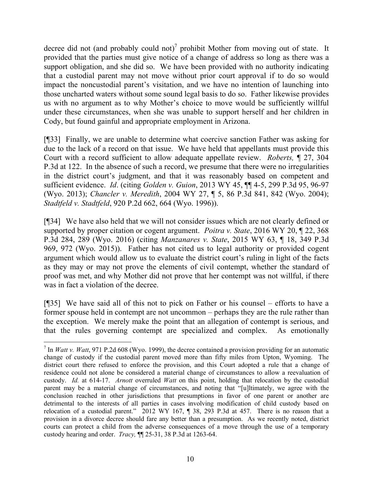decree did not (and probably could not)<sup>7</sup> prohibit Mother from moving out of state. It provided that the parties must give notice of a change of address so long as there was a support obligation, and she did so. We have been provided with no authority indicating that a custodial parent may not move without prior court approval if to do so would impact the noncustodial parent's visitation, and we have no intention of launching into those uncharted waters without some sound legal basis to do so. Father likewise provides us with no argument as to why Mother's choice to move would be sufficiently willful under these circumstances, when she was unable to support herself and her children in Cody, but found gainful and appropriate employment in Arizona.

[¶33] Finally, we are unable to determine what coercive sanction Father was asking for due to the lack of a record on that issue. We have held that appellants must provide this Court with a record sufficient to allow adequate appellate review. *Roberts,* ¶ 27, 304 P.3d at 122. In the absence of such a record, we presume that there were no irregularities in the district court's judgment, and that it was reasonably based on competent and sufficient evidence. *Id*. (citing *Golden v. Guion*, 2013 WY 45, ¶¶ 4-5, 299 P.3d 95, 96-97 (Wyo. 2013); *Chancler v. Meredith*, 2004 WY 27, ¶ 5, 86 P.3d 841, 842 (Wyo. 2004); *Stadtfeld v. Stadtfeld*, 920 P.2d 662, 664 (Wyo. 1996)).

[¶34] We have also held that we will not consider issues which are not clearly defined or supported by proper citation or cogent argument. *Poitra v. State*, 2016 WY 20, ¶ 22, 368 P.3d 284, 289 (Wyo. 2016) (citing *Manzanares v. State*, 2015 WY 63, ¶ 18, 349 P.3d 969, 972 (Wyo. 2015)). Father has not cited us to legal authority or provided cogent argument which would allow us to evaluate the district court's ruling in light of the facts as they may or may not prove the elements of civil contempt, whether the standard of proof was met, and why Mother did not prove that her contempt was not willful, if there was in fact a violation of the decree.

[¶35] We have said all of this not to pick on Father or his counsel – efforts to have a former spouse held in contempt are not uncommon – perhaps they are the rule rather than the exception. We merely make the point that an allegation of contempt is serious, and that the rules governing contempt are specialized and complex. As emotionally

 $\overline{a}$ 

<sup>&</sup>lt;sup>7</sup> In *Watt v. Watt*, 971 P.2d 608 (Wyo. 1999), the decree contained a provision providing for an automatic change of custody if the custodial parent moved more than fifty miles from Upton, Wyoming. The district court there refused to enforce the provision, and this Court adopted a rule that a change of residence could not alone be considered a material change of circumstances to allow a reevaluation of custody. *Id.* at 614-17. *Arnott* overruled *Watt* on this point, holding that relocation by the custodial parent may be a material change of circumstances, and noting that "[u]ltimately, we agree with the conclusion reached in other jurisdictions that presumptions in favor of one parent or another are detrimental to the interests of all parties in cases involving modification of child custody based on relocation of a custodial parent." 2012 WY 167, ¶ 38, 293 P.3d at 457. There is no reason that a provision in a divorce decree should fare any better than a presumption. As we recently noted, district courts can protect a child from the adverse consequences of a move through the use of a temporary custody hearing and order. *Tracy,* ¶¶ 25-31, 38 P.3d at 1263-64.